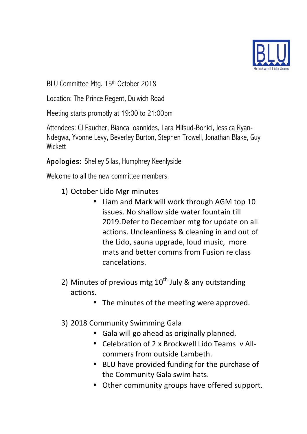

BLU Committee Mtg. 15th October 2018

Location: The Prince Regent, Dulwich Road

Meeting starts promptly at 19:00 to 21:00pm

Attendees: CJ Faucher, Bianca Ioannides, Lara Mifsud-Bonici, Jessica Ryan-Ndegwa, Yvonne Levy, Beverley Burton, Stephen Trowell, Jonathan Blake, Guy **Wickett** 

Apologies: Shelley Silas, Humphrey Keenlyside

Welcome to all the new committee members.

- 1) October Lido Mgr minutes
	- Liam and Mark will work through AGM top 10 issues. No shallow side water fountain till 2019. Defer to December mtg for update on all actions. Uncleanliness & cleaning in and out of the Lido, sauna upgrade, loud music, more mats and better comms from Fusion re class cancelations.
- 2) Minutes of previous mtg  $10^{th}$  July & any outstanding actions.
	- The minutes of the meeting were approved.
- 3) 2018 Community Swimming Gala
	- Gala will go ahead as originally planned.
	- Celebration of 2 x Brockwell Lido Teams v Allcommers from outside Lambeth.
	- BLU have provided funding for the purchase of the Community Gala swim hats.
	- Other community groups have offered support.